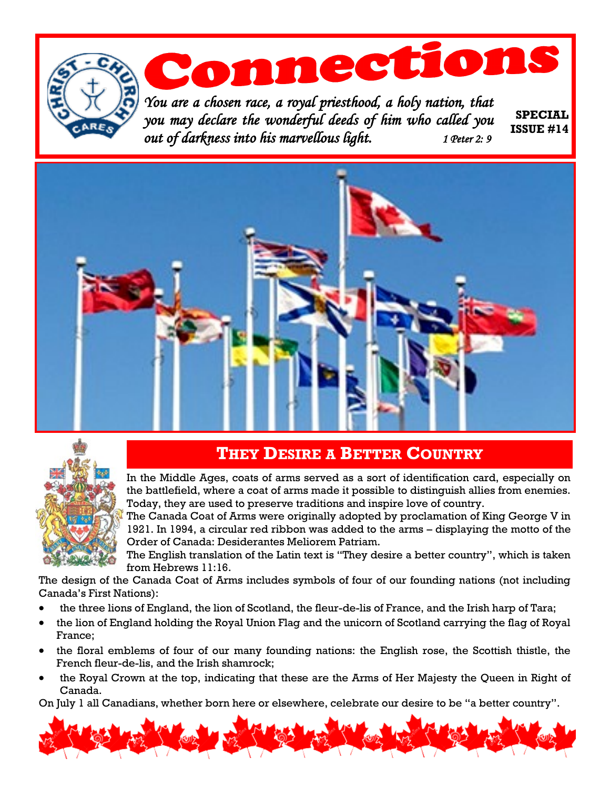





### **THEY DESIRE A BETTER COUNTRY**

In the Middle Ages, coats of arms served as a sort of identification card, especially on the battlefield, where a coat of arms made it possible to distinguish allies from enemies. Today, they are used to preserve traditions and inspire love of country.

The Canada Coat of Arms were originally adopted by proclamation of King George V in 1921. In 1994, a circular red ribbon was added to the arms – displaying the motto of the Order of Canada: Desiderantes Meliorem Patriam.

The English translation of the Latin text is "They desire a better country", which is taken from Hebrews 11:16.

The design of the Canada Coat of Arms includes symbols of four of our founding nations (not including Canada's First Nations):

- the three lions of England, the lion of Scotland, the fleur-de-lis of France, and the Irish harp of Tara;
- the lion of England holding the Royal Union Flag and the unicorn of Scotland carrying the flag of Royal France;
- the floral emblems of four of our many founding nations: the English rose, the Scottish thistle, the French fleur-de-lis, and the Irish shamrock;
- the Royal Crown at the top, indicating that these are the Arms of Her Majesty the Queen in Right of Canada.

On July 1 all Canadians, whether born here or elsewhere, celebrate our desire to be "a better country".

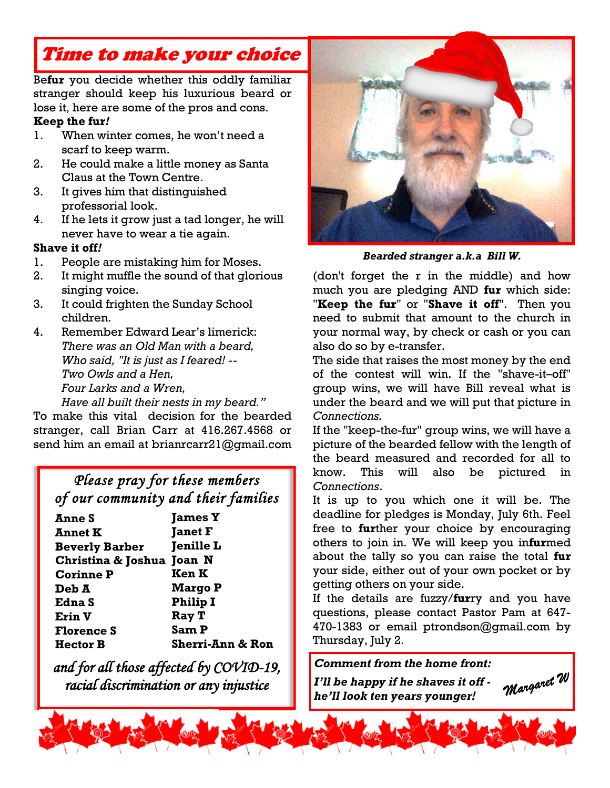# Time to make your choice

Be**fur** you decide whether this oddly familiar stranger should keep his luxurious beard or lose it, here are some of the pros and cons.

#### **Keep the fur***!*

- 1. When winter comes, he won't need a scarf to keep warm.
- 2. He could make a little money as Santa Claus at the Town Centre.
- 3. It gives him that distinguished professorial look.
- 4. If he lets it grow just a tad longer, he will never have to wear a tie again.

#### **Shave it off***!*

- 1. People are mistaking him for Moses.
- 2. It might muffle the sound of that glorious singing voice.
- 3. It could frighten the Sunday School children.
- 4. Remember Edward Lear's limerick: *There was an Old Man with a beard, Who said, "It is just as I feared! -- Two Owls and a Hen, Four Larks and a Wren,*

*Have all built their nests in my beard."*  To make this vital decision for the bearded stranger, call Brian Carr at 416.267.4568 or send him an email at brianrcarr21@gmail.com

### *Please pray for these members of our community and their families*

| <b>James Y</b>              |
|-----------------------------|
| <b>Janet F</b>              |
| <b>Jenille L</b>            |
| Christina & Joshua Joan N   |
| Ken K                       |
| <b>Margo P</b>              |
| <b>Philip I</b>             |
| Ray T                       |
| Sam P                       |
| <b>Sherri-Ann &amp; Ron</b> |
|                             |

*and for all those affected by COVID-19, racial discrimination or any injustice*



*Bearded stranger a.k.a Bill W.*

(don't forget the r in the middle) and how much you are pledging AND **fur** which side: "**Keep the fur**" or "**Shave it off**". Then you need to submit that amount to the church in your normal way, by check or cash or you can also do so by e-transfer.

The side that raises the most money by the end of the contest will win. If the "shave-it–off" group wins, we will have Bill reveal what is under the beard and we will put that picture in *Connections.* 

If the "keep-the-fur" group wins, we will have a picture of the bearded fellow with the length of the beard measured and recorded for all to know. This will also be pictured in *Connections*.

It is up to you which one it will be. The deadline for pledges is Monday, July 6th. Feel free to **fur**ther your choice by encouraging others to join in. We will keep you in**fur**med about the tally so you can raise the total **fur** your side, either out of your own pocket or by getting others on your side.

If the details are fuzzy/**fur**ry and you have questions, please contact Pastor Pam at 647- 470-1383 or email ptrondson@gmail.com by Thursday, July 2.

### *Comment from the home front:*

*I'll be happy if he shaves it off he'll look ten years younger!* 

Margaret W

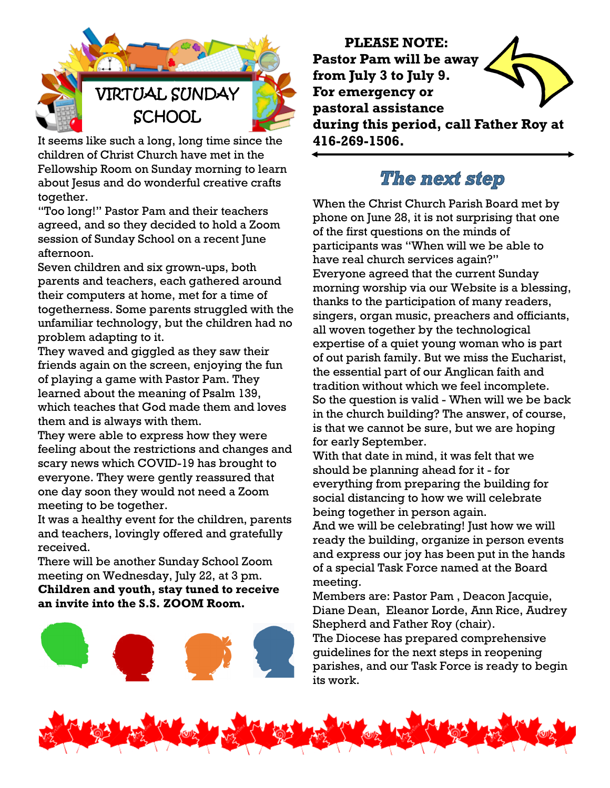

It seems like such a long, long time since the children of Christ Church have met in the Fellowship Room on Sunday morning to learn about Jesus and do wonderful creative crafts together.

"Too long!" Pastor Pam and their teachers agreed, and so they decided to hold a Zoom session of Sunday School on a recent June afternoon.

Seven children and six grown-ups, both parents and teachers, each gathered around their computers at home, met for a time of togetherness. Some parents struggled with the unfamiliar technology, but the children had no problem adapting to it.

They waved and giggled as they saw their friends again on the screen, enjoying the fun of playing a game with Pastor Pam. They learned about the meaning of Psalm 139, which teaches that God made them and loves them and is always with them.

They were able to express how they were feeling about the restrictions and changes and scary news which COVID-19 has brought to everyone. They were gently reassured that one day soon they would not need a Zoom meeting to be together.

It was a healthy event for the children, parents and teachers, lovingly offered and gratefully received.

There will be another Sunday School Zoom meeting on Wednesday, July 22, at 3 pm. **Children and youth, stay tuned to receive an invite into the S.S. ZOOM Room.**



**PLEASE NOTE: Pastor Pam will be away from July 3 to July 9. For emergency or pastoral assistance during this period, call Father Roy at 416-269-1506.**

## The next step

When the Christ Church Parish Board met by phone on June 28, it is not surprising that one of the first questions on the minds of participants was "When will we be able to have real church services again?" Everyone agreed that the current Sunday morning worship via our Website is a blessing, thanks to the participation of many readers, singers, organ music, preachers and officiants, all woven together by the technological expertise of a quiet young woman who is part of out parish family. But we miss the Eucharist, the essential part of our Anglican faith and tradition without which we feel incomplete. So the question is valid - When will we be back in the church building? The answer, of course, is that we cannot be sure, but we are hoping for early September.

With that date in mind, it was felt that we should be planning ahead for it - for everything from preparing the building for social distancing to how we will celebrate being together in person again.

And we will be celebrating! Just how we will ready the building, organize in person events and express our joy has been put in the hands of a special Task Force named at the Board meeting.

Members are: Pastor Pam , Deacon Jacquie, Diane Dean, Eleanor Lorde, Ann Rice, Audrey Shepherd and Father Roy (chair).

The Diocese has prepared comprehensive guidelines for the next steps in reopening parishes, and our Task Force is ready to begin its work.